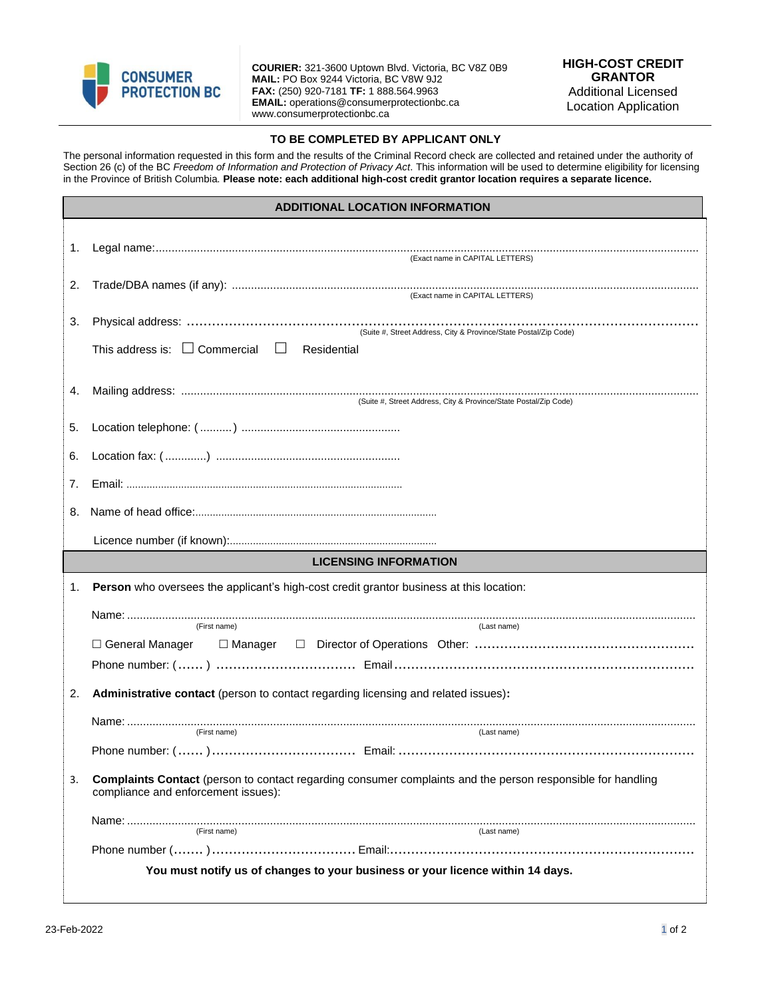

**COURIER:** 321-3600 Uptown Blvd. Victoria, BC V8Z 0B9 **MAIL:** PO Box 9244 Victoria, BC V8W 9J2 **FAX:** (250) 920-7181 **TF:** 1 888.564.9963 **EMAIL:** operations@consumerprotectionbc.ca www.consumerprotectionbc.ca

## **TO BE COMPLETED BY APPLICANT ONLY**

The personal information requested in this form and the results of the Criminal Record check are collected and retained under the authority of Section 26 (c) of the BC *Freedom of Information and Protection of Privacy Act*. This information will be used to determine eligibility for licensing in the Province of British Columbia. **Please note: each additional high-cost credit grantor location requires a separate licence.**

| <b>ADDITIONAL LOCATION INFORMATION</b> |                                                                                                                                                           |  |  |
|----------------------------------------|-----------------------------------------------------------------------------------------------------------------------------------------------------------|--|--|
| 1.                                     |                                                                                                                                                           |  |  |
|                                        | (Exact name in CAPITAL LETTERS)                                                                                                                           |  |  |
| 2.                                     |                                                                                                                                                           |  |  |
| 3.                                     | (Suite #, Street Address, City & Province/State Postal/Zip Code)                                                                                          |  |  |
|                                        | This address is: $\Box$ Commercial $\Box$<br>Residential                                                                                                  |  |  |
| 4.                                     | (Suite #, Street Address, City & Province/State Postal/Zip Code)                                                                                          |  |  |
| 5.                                     |                                                                                                                                                           |  |  |
| 6.                                     |                                                                                                                                                           |  |  |
| 7.                                     |                                                                                                                                                           |  |  |
| 8.                                     |                                                                                                                                                           |  |  |
|                                        |                                                                                                                                                           |  |  |
| <b>LICENSING INFORMATION</b>           |                                                                                                                                                           |  |  |
| 1.                                     | Person who oversees the applicant's high-cost credit grantor business at this location:                                                                   |  |  |
|                                        | (First name)<br>(Last name)                                                                                                                               |  |  |
|                                        |                                                                                                                                                           |  |  |
|                                        |                                                                                                                                                           |  |  |
| 2.                                     | Administrative contact (person to contact regarding licensing and related issues):                                                                        |  |  |
|                                        | (First name)<br>(Last name)                                                                                                                               |  |  |
|                                        |                                                                                                                                                           |  |  |
| 3.                                     | <b>Complaints Contact</b> (person to contact regarding consumer complaints and the person responsible for handling<br>compliance and enforcement issues): |  |  |
|                                        | (First name)<br>(Last name)                                                                                                                               |  |  |
|                                        |                                                                                                                                                           |  |  |
|                                        | You must notify us of changes to your business or your licence within 14 days.                                                                            |  |  |